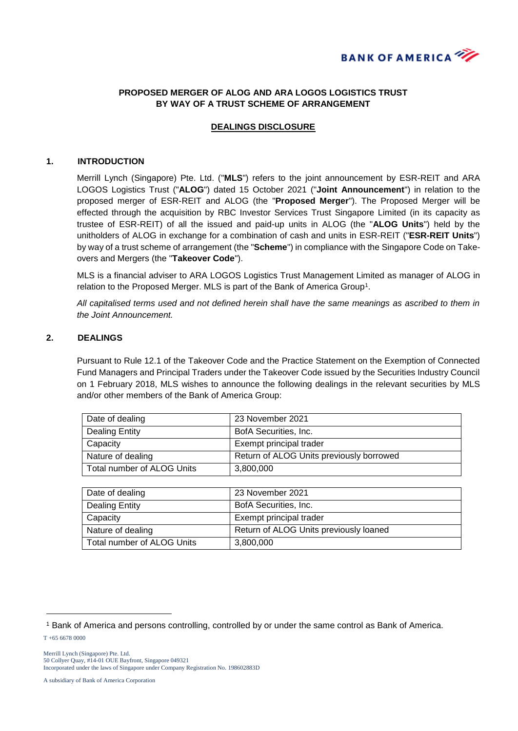

# **PROPOSED MERGER OF ALOG AND ARA LOGOS LOGISTICS TRUST BY WAY OF A TRUST SCHEME OF ARRANGEMENT**

## **DEALINGS DISCLOSURE**

#### **1. INTRODUCTION**

Merrill Lynch (Singapore) Pte. Ltd. ("**MLS**") refers to the joint announcement by ESR-REIT and ARA LOGOS Logistics Trust ("**ALOG**") dated 15 October 2021 ("**Joint Announcement**") in relation to the proposed merger of ESR-REIT and ALOG (the "**Proposed Merger**"). The Proposed Merger will be effected through the acquisition by RBC Investor Services Trust Singapore Limited (in its capacity as trustee of ESR-REIT) of all the issued and paid-up units in ALOG (the "**ALOG Units**") held by the unitholders of ALOG in exchange for a combination of cash and units in ESR-REIT ("**ESR-REIT Units**") by way of a trust scheme of arrangement (the "**Scheme**") in compliance with the Singapore Code on Takeovers and Mergers (the "**Takeover Code**").

MLS is a financial adviser to ARA LOGOS Logistics Trust Management Limited as manager of ALOG in relation to the Proposed Merger. MLS is part of the Bank of America Group<sup>1</sup>.

*All capitalised terms used and not defined herein shall have the same meanings as ascribed to them in the Joint Announcement.*

## **2. DEALINGS**

Pursuant to Rule 12.1 of the Takeover Code and the Practice Statement on the Exemption of Connected Fund Managers and Principal Traders under the Takeover Code issued by the Securities Industry Council on 1 February 2018, MLS wishes to announce the following dealings in the relevant securities by MLS and/or other members of the Bank of America Group:

| Date of dealing            | 23 November 2021                         |
|----------------------------|------------------------------------------|
| Dealing Entity             | BofA Securities, Inc.                    |
| Capacity                   | Exempt principal trader                  |
| Nature of dealing          | Return of ALOG Units previously borrowed |
| Total number of ALOG Units | 3,800,000                                |

| Date of dealing            | 23 November 2021                       |
|----------------------------|----------------------------------------|
| Dealing Entity             | BofA Securities, Inc.                  |
| Capacity                   | Exempt principal trader                |
| Nature of dealing          | Return of ALOG Units previously loaned |
| Total number of ALOG Units | 3,800,000                              |

T +65 6678 0000

-

Merrill Lynch (Singapore) Pte. Ltd. 50 Collyer Quay, #14-01 OUE Bayfront, Singapore 049321 Incorporated under the laws of Singapore under Company Registration No. 198602883D

A subsidiary of Bank of America Corporation

<sup>1</sup> Bank of America and persons controlling, controlled by or under the same control as Bank of America.